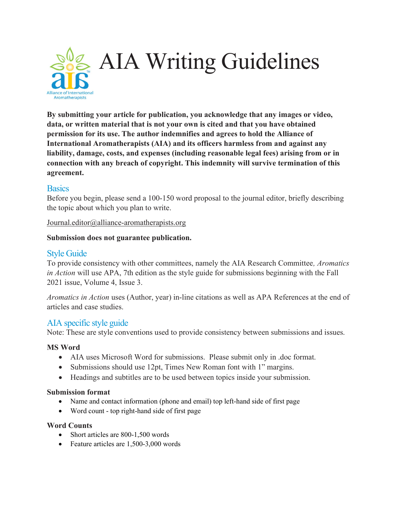

By submitting your article for publication, you acknowledge that any images or video, data, or written material that is not your own is cited and that you have obtained permission for its use. The author indemnifies and agrees to hold the Alliance of International Aromatherapists (AIA) and its officers harmless from and against any liability, damage, costs, and expenses (including reasonable legal fees) arising from or in connection with any breach of copyright. This indemnity will survive termination of this agreement.

## **Basics**

Before you begin, please send a 100-150 word proposal to the journal editor, briefly describing the topic about which you plan to write.

Journal.editor@alliance-aromatherapists.org

#### Submission does not guarantee publication.

## Style Guide

To provide consistency with other committees, namely the AIA Research Committee, Aromatics in Action will use APA, 7th edition as the style guide for submissions beginning with the Fall 2021 issue, Volume 4, Issue 3.

Aromatics in Action uses (Author, year) in-line citations as well as APA References at the end of articles and case studies.

# AIA specific style guide

Note: These are style conventions used to provide consistency between submissions and issues.

### MS Word

- AIA uses Microsoft Word for submissions. Please submit only in .doc format.
- Submissions should use 12pt, Times New Roman font with 1" margins.
- Headings and subtitles are to be used between topics inside your submission.

#### Submission format

- Name and contact information (phone and email) top left-hand side of first page
- Word count top right-hand side of first page

#### Word Counts

- Short articles are 800-1,500 words
- Feature articles are 1,500-3,000 words